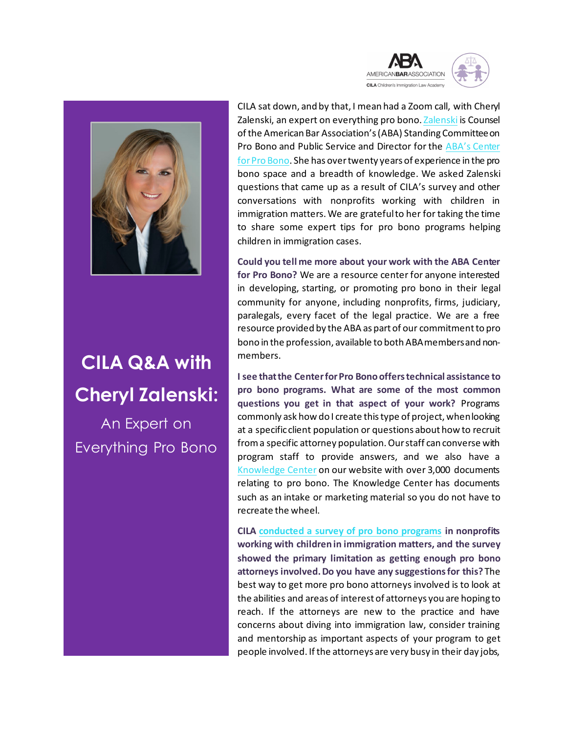

## **CILA Q&A with Cheryl Zalenski:**

An Expert on Everything Pro Bono

CILA sat down, and by that, I mean had a Zoom call, with Cheryl Zalenski, an expert on everything pro bono[. Zalenski](https://centerforprobono.wordpress.com/about/staff/) is Counsel of the American Bar Association's (ABA) Standing Committee on Pro Bono and Public Service and Director for the [ABA's Center](https://www.americanbar.org/groups/center-pro-bono/)  [for Pro Bono.](https://www.americanbar.org/groups/center-pro-bono/) She has over twenty years of experience in the pro bono space and a breadth of knowledge. We asked Zalenski questions that came up as a result of CILA's survey and other conversations with nonprofits working with children in immigration matters. We are grateful to her for taking the time to share some expert tips for pro bono programs helping children in immigration cases.

AMERICANBARASSOCIATION **CILA** Children's Immigration Law Academ

**Could you tell me more about your work with the ABA Center for Pro Bono?** We are a resource center for anyone interested in developing, starting, or promoting pro bono in their legal community for anyone, including nonprofits, firms, judiciary, paralegals, every facet of the legal practice. We are a free resource provided by the ABA as part of our commitment to pro bono in the profession, available to both ABA members and nonmembers.

**I see thatthe Center for Pro Bono offers technical assistance to pro bono programs. What are some of the most common questions you get in that aspect of your work?** Programs commonly ask how do I create this type of project, when looking at a specific client population or questions about how to recruit from a specific attorney population. Our staff can converse with program staff to provide answers, and we also have a [Knowledge Center](https://www.americanbar.org/groups/center-pro-bono/pro-bono-content-directory/?q=*:*&hl=on&hl.fl=title%2Cdescription&wt=json&start=0&rows=10&fq=(id%3A%5C%2Fcontent%2Fdam%2Faba%2Fdirectories%2Fpro_bono_clearinghouse%2F*)&fl=title%3Atitle_s%2Cdescription%3Adescription_txt_en%2Curl%3Aurl_s%2CpublishedDate%3Apublished_date_dt%2CPublishing%20Entity%3APublishing_Entity%2CTopics%3ATopics%2CresourceType%3Asling_resource_type_s%2CcqTags%3Acq_tags%2CisProduct%3Ais_product_b%2Csku%3Aproduct_id_s%2CchildProducts%3Achild_product_ids_ss%2ClistPrice%3Alist_price_s%2CproductType%3Aproduct_class_code_description_s%2Cimagery%3Aimage_url_ss%2Cauthor%3Aauthor_ss&json.facet=%7B%22Content%20Type%22%3A%7B%22type%22%3A%22terms%22%2C%22field%22%3A%22Content_Type%22%2C%22limit%22%3A100%7D%2C%22Content%20Source%22%3A%7B%22type%22%3A%22terms%22%2C%22field%22%3A%22Content_Source%22%2C%22limit%22%3A100%7D%2C%22Content%20Topic%22%3A%7B%22type%22%3A%22terms%22%2C%22field%22%3A%22Content_Topic%22%2C%22limit%22%3A100%7D%2C%22publishing_entity_tags%22%3A%7B%22type%22%3A%22terms%22%2C%22field%22%3A%22cq_tags%22%2C%22prefix%22%3A%22publishing_entity%3A%22%2C%22limit%22%3A100%7D%7D&facet=true&defType=edismax&mm=75%25&fq=(id%3A%5C%2Fcontent%2Fdam%2Faba%2Fdirectories%2Fpro_bono_clearinghouse%2F*)&sort=score%20DESC) on our website with over 3,000 documents relating to pro bono. The Knowledge Center has documents such as an intake or marketing material so you do not have to recreate the wheel.

**CILA conducted a survey [of pro bono programs](http://www.cilacademy.org/wp-content/uploads/2020/05/CILA-Survey-Results-5.22.20.pdf) in nonprofits working with children in immigration matters, and the survey showed the primary limitation as getting enough pro bono attorneys involved. Do you have any suggestions for this?** The best way to get more pro bono attorneys involved is to look at the abilities and areas of interest of attorneys you are hoping to reach. If the attorneys are new to the practice and have concerns about diving into immigration law, consider training and mentorship as important aspects of your program to get people involved. If the attorneys are very busy in their day jobs,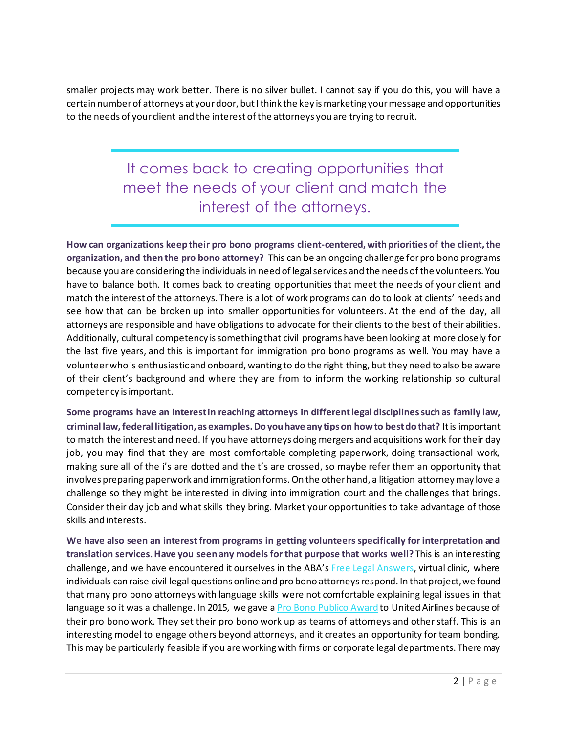smaller projects may work better. There is no silver bullet. I cannot say if you do this, you will have a certain number of attorneys at your door, but I think the key is marketing your message and opportunities to the needs of your client and the interest of the attorneys you are trying to recruit.

> It comes back to creating opportunities that meet the needs of your client and match the interest of the attorneys.

**How can organizations keep their pro bono programs client-centered, with priorities of the client, the organization, and then the pro bono attorney?** This can be an ongoing challenge for pro bono programs because you are considering the individuals in need of legal services and the needs of the volunteers. You have to balance both. It comes back to creating opportunities that meet the needs of your client and match the interest of the attorneys. There is a lot of work programs can do to look at clients' needs and see how that can be broken up into smaller opportunities for volunteers. At the end of the day, all attorneys are responsible and have obligations to advocate for their clients to the best of their abilities. Additionally, cultural competency is something that civil programs have been looking at more closely for the last five years, and this is important for immigration pro bono programs as well. You may have a volunteer who is enthusiastic and onboard, wanting to do the right thing, but they need to also be aware of their client's background and where they are from to inform the working relationship so cultural competency is important.

**Some programs have an interest in reaching attorneys in different legal disciplinessuch as family law, criminal law, federal litigation, as examples. Do you have any tips on how to best do that?** Itis important to match the interest and need. If you have attorneys doing mergers and acquisitions work for their day job, you may find that they are most comfortable completing paperwork, doing transactional work, making sure all of the i's are dotted and the t's are crossed, so maybe refer them an opportunity that involves preparing paperwork and immigration forms. On the other hand, a litigation attorney may love a challenge so they might be interested in diving into immigration court and the challenges that brings. Consider their day job and what skills they bring. Market your opportunities to take advantage of those skills and interests.

**We have also seen an interest from programs in getting volunteers specifically for interpretation and translation services. Have you seen any models for that purpose that works well?** This is an interesting challenge, and we have encountered it ourselves in the ABA'[s Free Legal Answers](https://www.abafreelegalanswers.org/), virtual clinic, where individuals can raise civil legal questions online and pro bono attorneys respond. In that project, we found that many pro bono attorneys with language skills were not comfortable explaining legal issues in that language so it was a challenge. In 2015, we gave [a Pro Bono Publico Award](https://www.americanbar.org/groups/probono_public_service/projects_awards/pro_bono_publico_award/past_recipients/) to United Airlines because of their pro bono work. They set their pro bono work up as teams of attorneys and other staff. This is an interesting model to engage others beyond attorneys, and it creates an opportunity for team bonding. This may be particularly feasible if you are working with firms or corporate legal departments. There may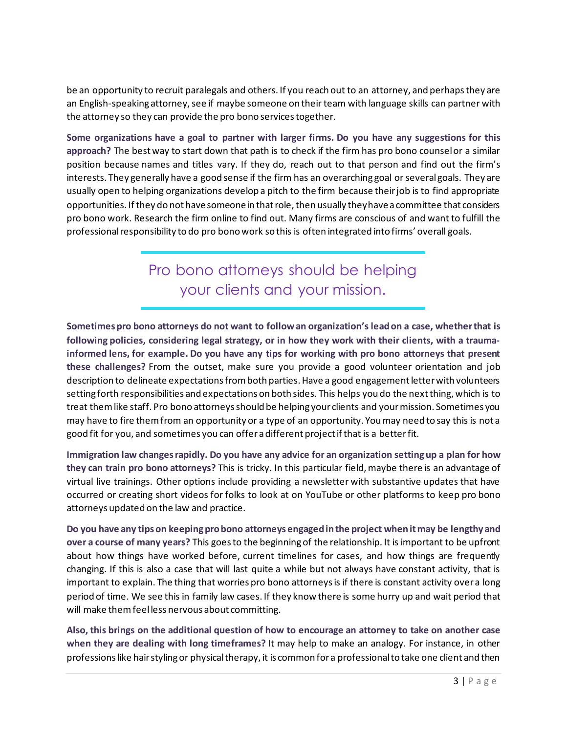be an opportunity to recruit paralegals and others. If you reach out to an attorney, and perhaps they are an English-speaking attorney, see if maybe someone on their team with language skills can partner with the attorney so they can provide the pro bono services together.

**Some organizations have a goal to partner with larger firms. Do you have any suggestions for this approach?** The best way to start down that path is to check if the firm has pro bono counsel or a similar position because names and titles vary. If they do, reach out to that person and find out the firm's interests. They generally have a good sense if the firm has an overarching goal or several goals. They are usually open to helping organizations develop a pitch to the firm because their job is to find appropriate opportunities. If they do not have someonein that role, then usually they have a committee that considers pro bono work. Research the firm online to find out. Many firms are conscious of and want to fulfill the professional responsibility to do pro bono work so this is often integrated into firms' overall goals.

> Pro bono attorneys should be helping your clients and your mission.

**Sometimes pro bono attorneys do not want to follow an organization's lead on a case, whether that is following policies, considering legal strategy, or in how they work with their clients, with a traumainformed lens, for example. Do you have any tips for working with pro bono attorneys that present these challenges?** From the outset, make sure you provide a good volunteer orientation and job description to delineate expectations from both parties. Have a good engagement letter with volunteers setting forth responsibilities and expectations on both sides. This helps you do the next thing, which is to treat them like staff. Pro bono attorneys should be helping your clients and your mission. Sometimes you may have to fire them from an opportunity or a type of an opportunity. You may need to say this is not a good fit for you, and sometimes you can offer a different project if that is a better fit.

**Immigration law changes rapidly. Do you have any advice for an organization setting up a plan for how they can train pro bono attorneys?** This is tricky. In this particular field, maybe there is an advantage of virtual live trainings. Other options include providing a newsletter with substantive updates that have occurred or creating short videos for folks to look at on YouTube or other platforms to keep pro bono attorneys updated on the law and practice.

**Do you have any tips on keeping pro bono attorneys engaged in the project when it may be lengthy and over a course of many years?** This goes to the beginning of the relationship. It is important to be upfront about how things have worked before, current timelines for cases, and how things are frequently changing. If this is also a case that will last quite a while but not always have constant activity, that is important to explain. The thing that worries pro bono attorneys is if there is constant activity over a long period of time. We see this in family law cases. If they know there is some hurry up and wait period that will make them feel less nervous about committing.

**Also, this brings on the additional question of how to encourage an attorney to take on another case when they are dealing with long timeframes?** It may help to make an analogy. For instance, in other professions like hair styling or physical therapy, it is common for a professional to take one client and then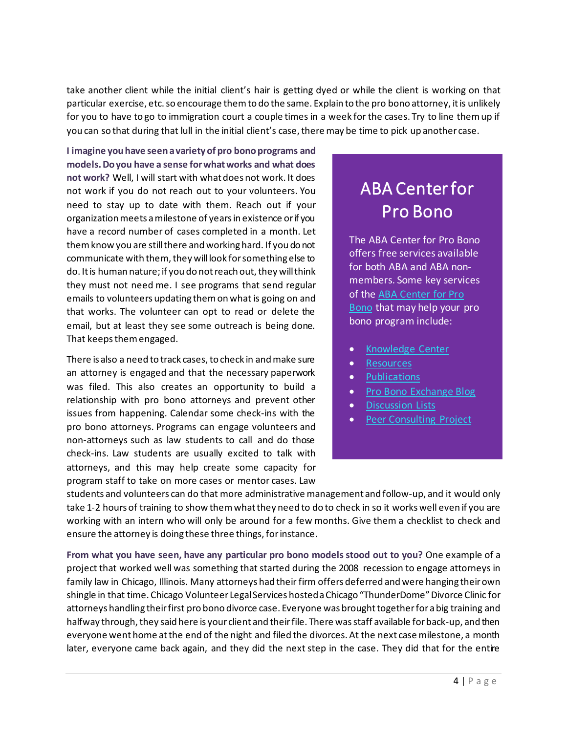take another client while the initial client's hair is getting dyed or while the client is working on that particular exercise, etc. so encourage them to do the same. Explain to the pro bono attorney, it is unlikely for you to have to go to immigration court a couple times in a week for the cases. Try to line them up if you can so that during that lull in the initial client's case, there may be time to pick up another case.

**I imagine you have seen a variety of pro bono programs and models. Do you have a sense for what works and what does not work?** Well, I will start with what does not work. It does not work if you do not reach out to your volunteers. You need to stay up to date with them. Reach out if your organization meets a milestone of years in existence or if you have a record number of cases completed in a month. Let them know you are still there and working hard. If you do not communicate with them, they will look for something else to do. It is human nature; if you do not reach out, they will think they must not need me. I see programs that send regular emails to volunteers updating them on what is going on and that works. The volunteer can opt to read or delete the email, but at least they see some outreach is being done. That keeps them engaged.

There is also a need to track cases, to check in and make sure an attorney is engaged and that the necessary paperwork was filed. This also creates an opportunity to build a relationship with pro bono attorneys and prevent other issues from happening. Calendar some check-ins with the pro bono attorneys. Programs can engage volunteers and non-attorneys such as law students to call and do those check-ins. Law students are usually excited to talk with attorneys, and this may help create some capacity for program staff to take on more cases or mentor cases. Law

## ABA Center for Pro Bono

The ABA Center for Pro Bono offers free services available for both ABA and ABA nonmembers. Some key services of the [ABA Center for Pro](https://www.americanbar.org/groups/center-pro-bono/)  [Bono](https://www.americanbar.org/groups/center-pro-bono/) that may help your pro bono program include:

- [Knowledge Center](https://www.americanbar.org/groups/center-pro-bono/pro-bono-content-directory/?q=*:*&hl=on&hl.fl=title%2Cdescription&wt=json&start=0&rows=10&fq=(id%3A%5C%2Fcontent%2Fdam%2Faba%2Fdirectories%2Fpro_bono_clearinghouse%2F*)&fl=title%3Atitle_s%2Cdescription%3Adescription_txt_en%2Curl%3Aurl_s%2CpublishedDate%3Apublished_date_dt%2CPublishing%20Entity%3APublishing_Entity%2CTopics%3ATopics%2CresourceType%3Asling_resource_type_s%2CcqTags%3Acq_tags%2CisProduct%3Ais_product_b%2Csku%3Aproduct_id_s%2CchildProducts%3Achild_product_ids_ss%2ClistPrice%3Alist_price_s%2CproductType%3Aproduct_class_code_description_s%2Cimagery%3Aimage_url_ss%2Cauthor%3Aauthor_ss&json.facet=%7B%22Content%20Type%22%3A%7B%22type%22%3A%22terms%22%2C%22field%22%3A%22Content_Type%22%2C%22limit%22%3A100%7D%2C%22Content%20Source%22%3A%7B%22type%22%3A%22terms%22%2C%22field%22%3A%22Content_Source%22%2C%22limit%22%3A100%7D%2C%22Content%20Topic%22%3A%7B%22type%22%3A%22terms%22%2C%22field%22%3A%22Content_Topic%22%2C%22limit%22%3A100%7D%2C%22publishing_entity_tags%22%3A%7B%22type%22%3A%22terms%22%2C%22field%22%3A%22cq_tags%22%2C%22prefix%22%3A%22publishing_entity%3A%22%2C%22limit%22%3A100%7D%7D&facet=true&defType=edismax&mm=75%25&fq=(id%3A%5C%2Fcontent%2Fdam%2Faba%2Fdirectories%2Fpro_bono_clearinghouse%2F*)&sort=score%20DESC)
- [Resources](https://www.americanbar.org/groups/center-pro-bono/resources/)
- [Publications](https://www.americanbar.org/groups/center-pro-bono/publications/)
- [Pro Bono Exchange Blog](https://www.americanbar.org/groups/center-pro-bono/publications/pro-bono-exchange/)
- [Discussion Lists](https://www.americanbar.org/groups/center-pro-bono/about-us/listservs/)
- **[Peer Consulting Project](https://www.americanbar.org/groups/center-pro-bono/resources/peer-consulting-project/)**

students and volunteers can do that more administrative management and follow-up, and it would only take 1-2 hours of training to show them what they need to do to check in so it works well even if you are working with an intern who will only be around for a few months. Give them a checklist to check and ensure the attorney is doing these three things, for instance.

**From what you have seen, have any particular pro bono models stood out to you?** One example of a project that worked well was something that started during the 2008 recession to engage attorneys in family law in Chicago, Illinois. Many attorneys had their firm offers deferred and were hanging their own shingle in that time. Chicago Volunteer Legal Services hosted a Chicago "ThunderDome" Divorce Clinic for attorneys handling their first pro bono divorce case. Everyone was brought together for a big training and halfway through, they said here is your client and their file. There was staff available for back-up, and then everyone went home at the end of the night and filed the divorces. At the next case milestone, a month later, everyone came back again, and they did the next step in the case. They did that for the entire